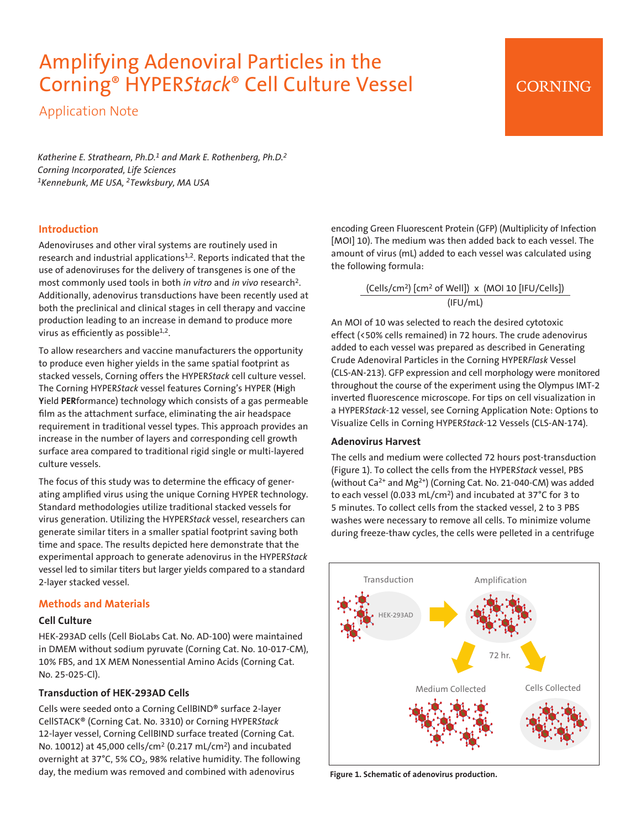# Amplifying Adenoviral Particles in the Corning® HYPER*Stack*® Cell Culture Vessel

Application Note

*Katherine E. Strathearn, Ph.D.1 and Mark E. Rothenberg, Ph.D.2 Corning Incorporated, Life Sciences 1Kennebunk, ME USA, 2Tewksbury, MA USA*

## **Introduction**

Adenoviruses and other viral systems are routinely used in research and industrial applications<sup>1,2</sup>. Reports indicated that the use of adenoviruses for the delivery of transgenes is one of the most commonly used tools in both *in vitro* and *in vivo* research2. Additionally, adenovirus transductions have been recently used at both the preclinical and clinical stages in cell therapy and vaccine production leading to an increase in demand to produce more virus as efficiently as possible $1,2$ .

To allow researchers and vaccine manufacturers the opportunity to produce even higher yields in the same spatial footprint as stacked vessels, Corning offers the HYPER*Stack* cell culture vessel. The Corning HYPER*Stack* vessel features Corning's HYPER (**H**igh **Y**ield **PER**formance) technology which consists of a gas permeable film as the attachment surface, eliminating the air headspace requirement in traditional vessel types. This approach provides an increase in the number of layers and corresponding cell growth surface area compared to traditional rigid single or multi-layered culture vessels.

The focus of this study was to determine the efficacy of generating amplified virus using the unique Corning HYPER technology. Standard methodologies utilize traditional stacked vessels for virus generation. Utilizing the HYPER*Stack* vessel, researchers can generate similar titers in a smaller spatial footprint saving both time and space. The results depicted here demonstrate that the experimental approach to generate adenovirus in the HYPER*Stack* vessel led to similar titers but larger yields compared to a standard 2-layer stacked vessel.

## **Methods and Materials**

#### **Cell Culture**

HEK-293AD cells (Cell BioLabs Cat. No. AD-100) were maintained in DMEM without sodium pyruvate (Corning Cat. No. 10-017-CM), 10% FBS, and 1X MEM Nonessential Amino Acids (Corning Cat. No. 25-025-Cl).

#### **Transduction of HEK-293AD Cells**

Cells were seeded onto a Corning CellBIND® surface 2-layer CellSTACK® (Corning Cat. No. 3310) or Corning HYPER*Stack* 12-layer vessel, Corning CellBIND surface treated (Corning Cat. No. 10012) at 45,000 cells/cm2 (0.217 mL/cm2) and incubated overnight at 37°C, 5% CO<sub>2</sub>, 98% relative humidity. The following day, the medium was removed and combined with adenovirus

encoding Green Fluorescent Protein (GFP) (Multiplicity of Infection [MOI] 10). The medium was then added back to each vessel. The amount of virus (mL) added to each vessel was calculated using the following formula:

**CORNING** 

 $(Cells/cm<sup>2</sup>)$   $[cm<sup>2</sup>$  of Well])  $\times$  (MOI 10  $[IFU/Cells]$ ) (IFU/mL)

An MOI of 10 was selected to reach the desired cytotoxic effect (<50% cells remained) in 72 hours. The crude adenovirus added to each vessel was prepared as described in Generating Crude Adenoviral Particles in the Corning HYPER*Flask* Vessel (CLS-AN-213). GFP expression and cell morphology were monitored throughout the course of the experiment using the Olympus IMT-2 inverted fluorescence microscope. For tips on cell visualization in a HYPER*Stack*-12 vessel, see Corning Application Note: Options to Visualize Cells in Corning HYPER*Stack*-12 Vessels (CLS-AN-174).

#### **Adenovirus Harvest**

The cells and medium were collected 72 hours post-transduction (Figure 1). To collect the cells from the HYPER*Stack* vessel, PBS (without Ca<sup>2+</sup> and Mg<sup>2+</sup>) (Corning Cat. No. 21-040-CM) was added to each vessel (0.033 mL/cm2) and incubated at 37°C for 3 to 5 minutes. To collect cells from the stacked vessel, 2 to 3 PBS washes were necessary to remove all cells. To minimize volume during freeze-thaw cycles, the cells were pelleted in a centrifuge



**Figure 1. Schematic of adenovirus production.**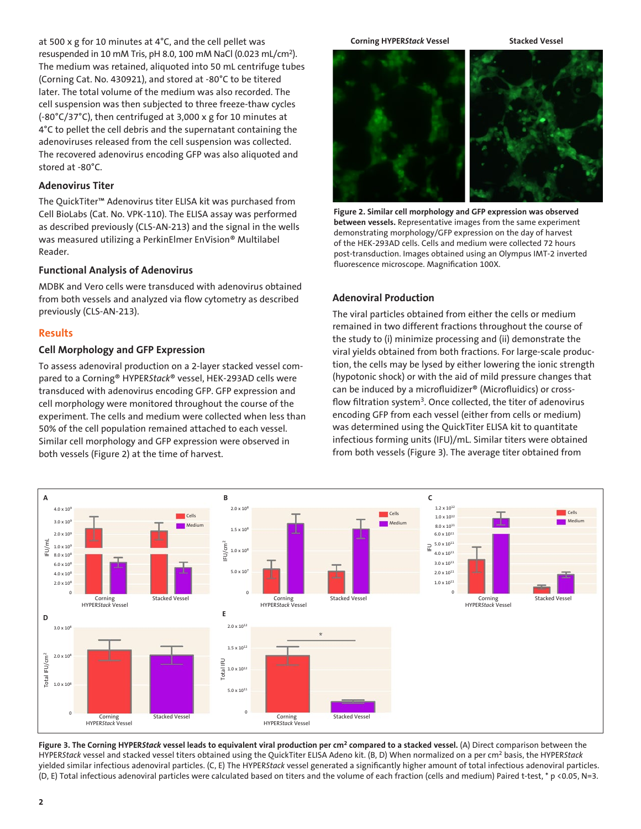at 500 x g for 10 minutes at 4°C, and the cell pellet was resuspended in 10 mM Tris, pH 8.0, 100 mM NaCl (0.023 mL/cm2). The medium was retained, aliquoted into 50 mL centrifuge tubes (Corning Cat. No. 430921), and stored at -80°C to be titered later. The total volume of the medium was also recorded. The cell suspension was then subjected to three freeze-thaw cycles (-80°C/37°C), then centrifuged at 3,000 x g for 10 minutes at 4°C to pellet the cell debris and the supernatant containing the adenoviruses released from the cell suspension was collected. The recovered adenovirus encoding GFP was also aliquoted and stored at -80°C.

#### **Adenovirus Titer**

The QuickTiter™ Adenovirus titer ELISA kit was purchased from Cell BioLabs (Cat. No. VPK-110). The ELISA assay was performed as described previously (CLS-AN-213) and the signal in the wells was measured utilizing a PerkinElmer EnVision® Multilabel Reader.

#### **Functional Analysis of Adenovirus**

MDBK and Vero cells were transduced with adenovirus obtained from both vessels and analyzed via flow cytometry as described previously (CLS-AN-213).

#### **Results**

#### **Cell Morphology and GFP Expression**

To assess adenoviral production on a 2-layer stacked vessel compared to a Corning® HYPER*Stack*® vessel, HEK-293AD cells were transduced with adenovirus encoding GFP. GFP expression and cell morphology were monitored throughout the course of the experiment. The cells and medium were collected when less than 50% of the cell population remained attached to each vessel. Similar cell morphology and GFP expression were observed in both vessels (Figure 2) at the time of harvest.

#### **Corning HYPER***Stack* **Vessel Stacked Vessel**



**Figure 2. Similar cell morphology and GFP expression was observed between vessels.** Representative images from the same experiment demonstrating morphology/GFP expression on the day of harvest of the HEK-293AD cells. Cells and medium were collected 72 hours post-transduction. Images obtained using an Olympus IMT-2 inverted fluorescence microscope. Magnification 100X.

#### **Adenoviral Production**

The viral particles obtained from either the cells or medium remained in two different fractions throughout the course of the study to (i) minimize processing and (ii) demonstrate the viral yields obtained from both fractions. For large-scale production, the cells may be lysed by either lowering the ionic strength (hypotonic shock) or with the aid of mild pressure changes that can be induced by a microfluidizer® (Microfluidics) or crossflow filtration system<sup>3</sup>. Once collected, the titer of adenovirus encoding GFP from each vessel (either from cells or medium) was determined using the QuickTiter ELISA kit to quantitate infectious forming units (IFU)/mL. Similar titers were obtained from both vessels (Figure 3). The average titer obtained from



**Figure 3. The Corning HYPER***Stack* **vessel leads to equivalent viral production per cm2 compared to a stacked vessel.** (A) Direct comparison between the HYPER*Stack* vessel and stacked vessel titers obtained using the QuickTiter ELISA Adeno kit. (B, D) When normalized on a per cm2 basis, the HYPER*Stack* yielded similar infectious adenoviral particles. (C, E) The HYPER*Stack* vessel generated a significantly higher amount of total infectious adenoviral particles. (D, E) Total infectious adenoviral particles were calculated based on titers and the volume of each fraction (cells and medium) Paired t-test, \* p <0.05, N=3.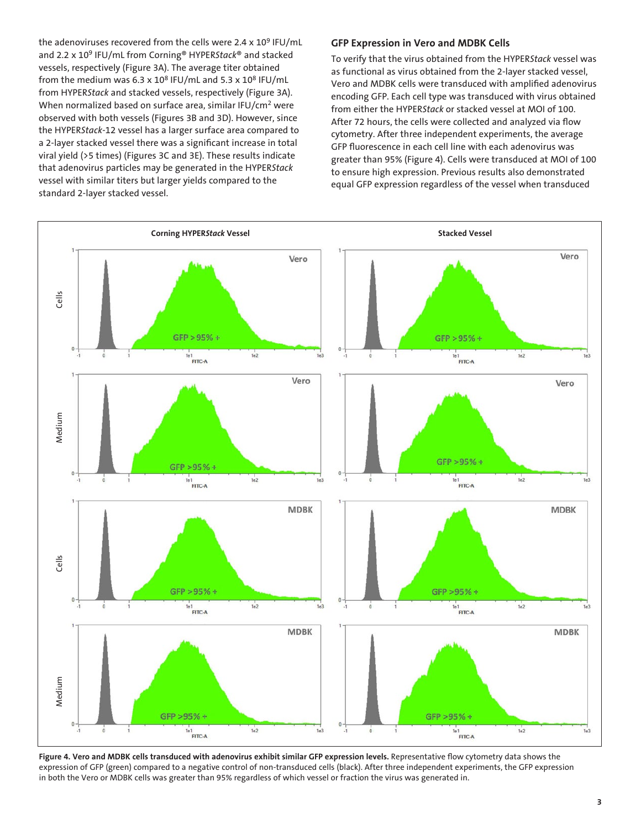the adenoviruses recovered from the cells were 2.4  $\times$  10<sup>9</sup> IFU/mL and 2.2 x 109 IFU/mL from Corning® HYPER*Stack*® and stacked vessels, respectively (Figure 3A). The average titer obtained from the medium was 6.3 x  $10^8$  IFU/mL and 5.3 x  $10^8$  IFU/mL from HYPER*Stack* and stacked vessels, respectively (Figure 3A). When normalized based on surface area, similar IFU/cm<sup>2</sup> were observed with both vessels (Figures 3B and 3D). However, since the HYPER*Stack-*12 vessel has a larger surface area compared to a 2-layer stacked vessel there was a significant increase in total viral yield (>5 times) (Figures 3C and 3E). These results indicate that adenovirus particles may be generated in the HYPER*Stack* vessel with similar titers but larger yields compared to the standard 2-layer stacked vessel.

#### **GFP Expression in Vero and MDBK Cells**

To verify that the virus obtained from the HYPER*Stack* vessel was as functional as virus obtained from the 2-layer stacked vessel, Vero and MDBK cells were transduced with amplified adenovirus encoding GFP. Each cell type was transduced with virus obtained from either the HYPER*Stack* or stacked vessel at MOI of 100. After 72 hours, the cells were collected and analyzed via flow cytometry. After three independent experiments, the average GFP fluorescence in each cell line with each adenovirus was greater than 95% (Figure 4). Cells were transduced at MOI of 100 to ensure high expression. Previous results also demonstrated equal GFP expression regardless of the vessel when transduced



Figure 4. Vero and MDBK cells transduced with adenovirus exhibit similar GFP expression levels. Representative flow cytometry data shows the expression of GFP (green) compared to a negative control of non-transduced cells (black). After three independent experiments, the GFP expression